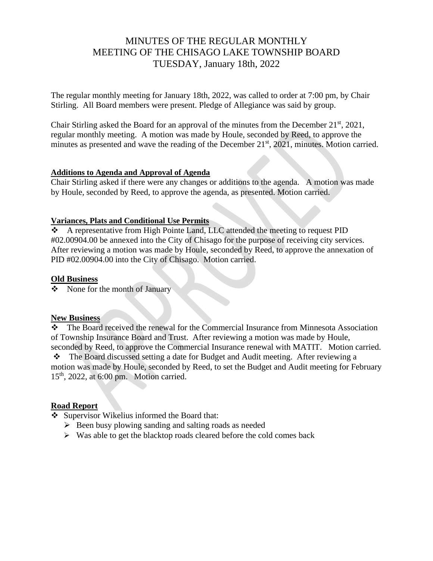# MINUTES OF THE REGULAR MONTHLY MEETING OF THE CHISAGO LAKE TOWNSHIP BOARD TUESDAY, January 18th, 2022

The regular monthly meeting for January 18th, 2022, was called to order at 7:00 pm, by Chair Stirling. All Board members were present. Pledge of Allegiance was said by group.

Chair Stirling asked the Board for an approval of the minutes from the December  $21<sup>st</sup>$ ,  $2021$ , regular monthly meeting. A motion was made by Houle, seconded by Reed, to approve the minutes as presented and wave the reading of the December 21<sup>st</sup>, 2021, minutes. Motion carried.

#### **Additions to Agenda and Approval of Agenda**

Chair Stirling asked if there were any changes or additions to the agenda. A motion was made by Houle, seconded by Reed, to approve the agenda, as presented. Motion carried.

#### **Variances, Plats and Conditional Use Permits**

❖ A representative from High Pointe Land, LLC attended the meeting to request PID #02.00904.00 be annexed into the City of Chisago for the purpose of receiving city services. After reviewing a motion was made by Houle, seconded by Reed, to approve the annexation of PID #02.00904.00 into the City of Chisago. Motion carried.

#### **Old Business**

❖ None for the month of January

## **New Business**

❖ The Board received the renewal for the Commercial Insurance from Minnesota Association of Township Insurance Board and Trust. After reviewing a motion was made by Houle, seconded by Reed, to approve the Commercial Insurance renewal with MATIT. Motion carried.

❖ The Board discussed setting a date for Budget and Audit meeting. After reviewing a motion was made by Houle, seconded by Reed, to set the Budget and Audit meeting for February 15th , 2022, at 6:00 pm. Motion carried.

## **Road Report**

❖ Supervisor Wikelius informed the Board that:

- ➢ Been busy plowing sanding and salting roads as needed
- $\triangleright$  Was able to get the blacktop roads cleared before the cold comes back